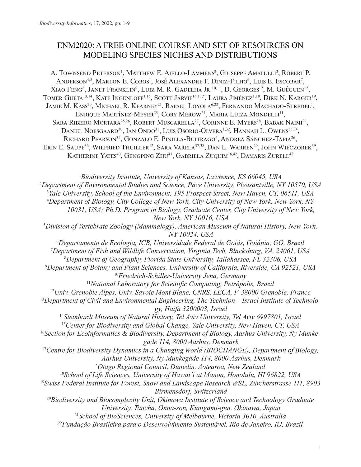# ENM2020: A FREE ONLINE COURSE AND SET OF RESOURCES ON MODELING SPECIES NICHES AND DISTRIBUTIONS

A. TOWNSEND PETERSON<sup>1</sup>, MATTHEW E. AIELLO-LAMMENS<sup>2</sup>, GIUSEPPE AMATULLI<sup>3</sup>, ROBERT P. Anderson<sup>4,5</sup>, Marlon E. Cobos<sup>1</sup>, José Alexandre F. Diniz-Filho<sup>6</sup>, Luis E. Escobar<sup>7</sup>, Xiao Feng<sup>8</sup>, Janet Franklin<sup>9</sup>, Luiz M. R. Gadelha Jr.<sup>10,11</sup>, D. Georges<sup>12</sup>, M. Guéguen<sup>12</sup>, TOMER GUETA<sup>13,14</sup>, KATE INGENLOFF<sup>1,15</sup>, SCOTT JARVIE<sup>16,17,\*</sup>, LAURA JIMÉNEZ<sup>1,18</sup>, DIRK N. KARGER<sup>19</sup>, Jamie M. Kass<sup>20</sup>, Michael R. Kearney<sup>21</sup>, Rafael Loyola<sup>6,22</sup>, Fernando Machado-Stredel<sup>1</sup>, ENRIQUE MARTÍNEZ-MEYER<sup>23</sup>, CORY MEROW<sup>24</sup>, MARIA LUIZA MONDELLI<sup>11</sup>, SARA RIBEIRO MORTARA<sup>25,26</sup>, ROBERT MUSCARELLA<sup>27</sup>, CORINNE E. MYERS<sup>28</sup>, BABAK NAIMI<sup>29</sup>, DANIEL NOESGAARD<sup>30</sup>, IAN ONDO<sup>31</sup>, LUIS OSORIO-OLVERA<sup>1,32</sup>, HANNAH L. OWENS<sup>33,34</sup>, Richard Pearson<sup>35</sup>, Gonzalo E. Pinilla-Buitrago<sup>4</sup>, Andrea Sánchez-Tapia<sup>26</sup>, ERIN E. SAUPE<sup>36</sup>, WILFRIED THUILLER<sup>12</sup>, SARA VARELA<sup>37,38</sup>, DAN L. WARREN<sup>20</sup>, JOHN WIECZOREK<sup>39</sup>, KATHERINE YATES<sup>40</sup>, GENGPING ZHU<sup>41</sup>, GABRIELA ZUQUIM<sup>16,42</sup>, DAMARIS ZURELL<sup>43</sup>

 *Biodiversity Institute, University of Kansas, Lawrence, KS 66045, USA Department of Environmental Studies and Science, Pace University, Pleasantville, NY 10570, USA Yale University, School of the Environment, 195 Prospect Street, New Haven, CT, 06511, USA Department of Biology, City College of New York, City University of New York, New York, NY 10031, USA; Ph.D. Program in Biology, Graduate Center, City University of New York, New York, NY 10016, USA*<br><sup>5</sup>Division of Vertebrate Zoology (Mammalogy), American Museum of Natural History, New York, *NY 10024, USA Departamento de Ecologia, ICB, Universidade Federal de Goiás, Goiânia, GO, Brazil Department of Fish and Wildlife Conservation, Virginia Tech, Blacksburg, VA, 24061, USA Department of Geography, Florida State University, Tallahassee, FL 32306, USA Department of Botany and Plant Sciences, University of California, Riverside, CA 92521, USA Friedrich-Schiller-University Jena, Germany National Laboratory for Scientific Computing, Petrópolis, Brazil Univ. Grenoble Alpes, Univ. Savoie Mont Blanc, CNRS, LECA, F-38000 Grenoble, France Department of Civil and Environmental Engineering, The Technion – Israel Institute of Technology, Haifa 3200003, Israel Steinhardt Museum of Natural History, Tel Aviv University, Tel Aviv 6997801, Israel Center for Biodiversity and Global Change, Yale University, New Haven, CT, USA Section for Ecoinformatics & Biodiversity, Department of Biology, Aarhus University, Ny Munkegade 114, 8000 Aarhus, Denmark* <sup>17</sup> Centre for Biodiversity Dynamics in a Changing World (BIOCHANGE), Department of Biology, *Aarhus University, Ny Munkegade 114, 8000 Aarhus, Denmark* \* *Otago Regional Council, Dunedin, Aotearoa, New Zealand School of Life Sciences, University of Hawai'i at Manoa, Honolulu, HI 96822, USA Swiss Federal Institute for Forest, Snow and Landscape Research WSL, Zürcherstrasse 111, 8903 Birmensdorf, Switzerland Biodiversity and Biocomplexity Unit, Okinawa Institute of Science and Technology Graduate University, Tancha, Onna-son, Kunigami-gun, Okinawa, Japan School of BioSciences, University of Melbourne, Victoria 3010, Australia Fundação Brasileira para o Desenvolvimento Sustentável, Rio de Janeiro, RJ, Brazil*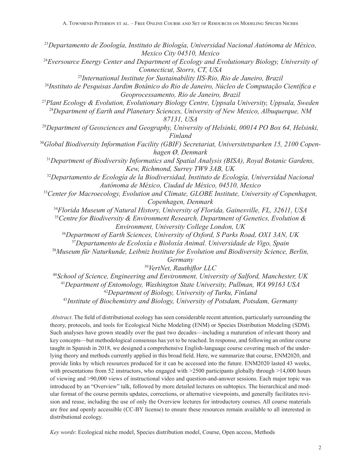*Departamento de Zoología, Instituto de Biología, Universidad Nacional Autónoma de México, Mexico City 04510, Mexico Eversource Energy Center and Department of Ecology and Evolutionary Biology, University of Connecticut, Storrs, CT, USA International Institute for Sustainability IIS-Rio, Rio de Janeiro, Brazil Instituto de Pesquisas Jardim Botânico do Rio de Janeiro, Núcleo de Computação Científica e Geoprocessamento, Rio de Janeiro, Brazil Plant Ecology & Evolution, Evolutionary Biology Centre, Uppsala University, Uppsala, Sweden Department of Earth and Planetary Sciences, University of New Mexico, Albuquerque, NM 87131, USA Department of Geosciences and Geography, University of Helsinki, 00014 PO Box 64, Helsinki, Finland Global Biodiversity Information Facility (GBIF) Secretariat, Universitetsparken 15, 2100 Copenhagen Ø, Denmark Department of Biodiversity Informatics and Spatial Analysis (BISA), Royal Botanic Gardens, Kew, Richmond, Surrey TW9 3AB, UK Departamento de Ecología de la Biodiversidad, Instituto de Ecología, Universidad Nacional Autónoma de México, Ciudad de México, 04510, Mexico Center for Macroecology, Evolution and Climate, GLOBE Institute, University of Copenhagen, Copenhagen, Denmark Florida Museum of Natural History, University of Florida, Gainesville, FL, 32611, USA Centre for Biodiversity & Environment Research, Department of Genetics, Evolution & Environment, University College London, UK Department of Earth Sciences, University of Oxford, S Parks Road, OX1 3AN, UK Departamento de Ecoloxía e Bioloxía Animal. Universidade de Vigo, Spain Museum für Naturkunde, Leibniz Institute for Evolution and Biodiversity Science, Berlin, Germany VertNet, Rauthiflor LLC School of Science, Engineering and Environment, University of Salford, Manchester, UK Department of Entomology, Washington State University, Pullman, WA 99163 USA Department of Biology, University of Turku, Finland*

<sup>43</sup>*Institute of Biochemistry and Biology, University of Potsdam, Potsdam, Germany*

*Abstract*. The field of distributional ecology has seen considerable recent attention, particularly surrounding the theory, protocols, and tools for Ecological Niche Modeling (ENM) or Species Distribution Modeling (SDM). Such analyses have grown steadily over the past two decades—including a maturation of relevant theory and key concepts—but methodological consensus has yet to be reached. In response, and following an online course taught in Spanish in 2018, we designed a comprehensive English-language course covering much of the underlying theory and methods currently applied in this broad field. Here, we summarize that course, ENM2020, and provide links by which resources produced for it can be accessed into the future. ENM2020 lasted 43 weeks, with presentations from 52 instructors, who engaged with  $>$ 2500 participants globally through  $>$ 14,000 hours of viewing and >90,000 views of instructional video and question-and-answer sessions. Each major topic was introduced by an "Overview" talk, followed by more detailed lectures on subtopics. The hierarchical and modular format of the course permits updates, corrections, or alternative viewpoints, and generally facilitates revision and reuse, including the use of only the Overview lectures for introductory courses. All course materials are free and openly accessible (CC-BY license) to ensure these resources remain available to all interested in distributional ecology.

*Key words*: Ecological niche model, Species distribution model, Course, Open access, Methods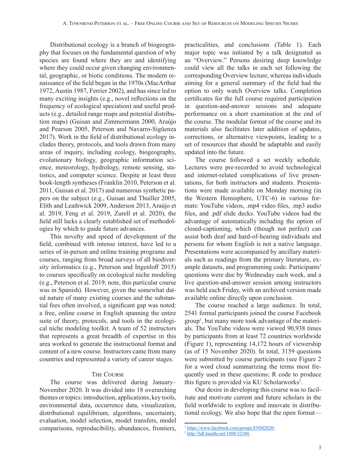Distributional ecology is a branch of biogeography that focuses on the fundamental question of why species are found where they are and identifying where they could occur given changing environmental, geographic, or biotic conditions. The modern renaissance of the field began in the 1970s (MacArthur 1972, Austin 1987, Ferrier 2002), and has since led to many exciting insights (e.g., novel reflections on the frequency of ecological speciation) and useful products (e.g., detailed range maps and potential distribution maps) (Guisan and Zimmermann 2000, Araújo and Pearson 2005, Peterson and Navarro-Sigüenza 2017). Work in the field of distributional ecology includes theory, protocols, and tools drawn from many areas of inquiry, including ecology, biogeography, evolutionary biology, geographic information science, meteorology, hydrology, remote sensing, statistics, and computer science. Despite at least three book-length syntheses (Franklin 2010, Peterson et al. 2011, Guisan et al. 2017) and numerous synthetic papers on the subject (e.g., Guisan and Thuiller 2005, Elith and Leathwick 2009, Anderson 2013, Araújo et al. 2019, Feng et al. 2019, Zurell et al. 2020), the field still lacks a clearly established set of methodologies by which to guide future advances.

This novelty and speed of development of the field, combined with intense interest, have led to a series of in-person and online training programs and courses, ranging from broad surveys of all biodiversity informatics (e.g., Peterson and Ingenloff 2015) to courses specifically on ecological niche modeling (e.g., Peterson et al. 2019; note, this particular course was in Spanish). However, given the somewhat dated nature of many existing courses and the substantial fees often involved, a significant gap was noted: a free, online course in English spanning the entire suite of theory, protocols, and tools in the ecological niche modeling toolkit. A team of 52 instructors that represents a great breadth of expertise in this area worked to generate the instructional format and content of a new course. Instructors came from many countries and represented a variety of career stages.

#### The Course

The course was delivered during January– November 2020. It was divided into 18 overarching themes or topics: introduction, applications, key tools, environmental data, occurrence data, visualization, distributional equilibrium, algorithms, uncertainty, evaluation, model selection, model transfers, model comparisons, reproducibility, abundances, frontiers,

practicalities, and conclusions (Table 1). Each major topic was initiated by a talk designated as an "Overview." Persons desiring deep knowledge could view all the talks in each set following the corresponding Overview lecture, whereas individuals aiming for a general summary of the field had the option to only watch Overview talks. Completion certificates for the full course required participation in question-and-answer sessions and adequate performance on a short examination at the end of the course. The modular format of the course and its materials also facilitates later addition of updates, corrections, or alternative viewpoints, leading to a set of resources that should be adaptable and easily updated into the future.

The course followed a set weekly schedule. Lectures were pre-recorded to avoid technological and internet-related complications of live presentations, for both instructors and students. Presentations were made available on Monday morning (in the Western Hemisphere, UTC-6) in various formats: YouTube videos, .mp4 video files, .mp3 audio files, and .pdf slide decks. YouTube videos had the advantage of automatically including the option of closed-captioning, which (though not perfect) can assist both deaf and hard-of-hearing individuals and persons for whom English is not a native language. Presentations were accompanied by ancillary materials such as readings from the primary literature, example datasets, and programming code. Participants' questions were due by Wednesday each week, and a live question-and-answer session among instructors was held each Friday, with an archived version made available online directly upon conclusion.

The course reached a large audience. In total, 2541 formal participants joined the course Facebook group<sup>1</sup> , but many more took advantage of the materials. The YouTube videos were viewed 90,938 times by participants from at least 72 countries worldwide (Figure 1), representing 14,172 hours of viewership (as of 15 November 2020). In total, 3159 questions were submitted by course participants (see Figure 2 for a word cloud summarizing the terms most frequently used in these questions; R code to produce this figure is provided via KU Scholarworks<sup>2</sup>.

Our desire in developing this course was to facilitate and motivate current and future scholars in the field worldwide to explore and innovate in distributional ecology. We also hope that the open format—

<sup>&</sup>lt;sup>1</sup> https://www[.](https://www.facebook.com/groups/ENM2020/)facebook.com/groups/ENM2020/.<br><sup>2</sup> <http://hdl.handle.net/1808/32540>.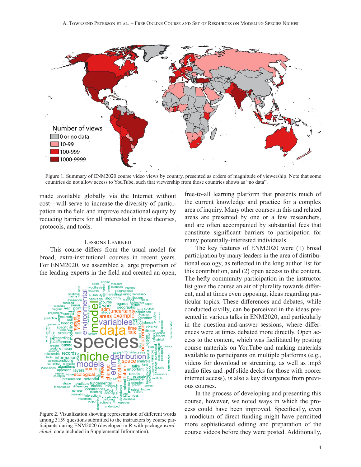

Figure 1. Summary of ENM2020 course video views by country, presented as orders of magnitude of viewership. Note that some countries do not allow access to YouTube, such that viewership from those countries shows as "no data".

made available globally via the Internet without cost—will serve to increase the diversity of participation in the field and improve educational equity by reducing barriers for all interested in these theories, protocols, and tools.

## Lessons Learned

This course differs from the usual model for broad, extra-institutional courses in recent years. For ENM2020, we assembled a large proportion of the leading experts in the field and created an open,



Figure 2. Visualization showing representation of different words among 3159 questions submitted to the instructors by course participants during ENM2020 (developed in R with package *wordcloud*; code included in Supplemental Information).

free-to-all learning platform that presents much of the current knowledge and practice for a complex area of inquiry. Many other courses in this and related areas are presented by one or a few researchers, and are often accompanied by substantial fees that constitute significant barriers to participation for many potentially-interested individuals.

The key features of ENM2020 were (1) broad participation by many leaders in the area of distributional ecology, as reflected in the long author list for this contribution, and (2) open access to the content. The hefty community participation in the instructor list gave the course an air of plurality towards different, and at times even opposing, ideas regarding particular topics. These differences and debates, while conducted civilly, can be perceived in the ideas presented in various talks in ENM2020, and particularly in the question-and-answer sessions, where differences were at times debated more directly. Open access to the content, which was facilitated by posting course materials on YouTube and making materials available to participants on multiple platforms (e.g., videos for download or streaming, as well as .mp3 audio files and .pdf slide decks for those with poorer internet access), is also a key divergence from previous courses.

In the process of developing and presenting this course, however, we noted ways in which the process could have been improved. Specifically, even a modicum of direct funding might have permitted more sophisticated editing and preparation of the course videos before they were posted. Additionally,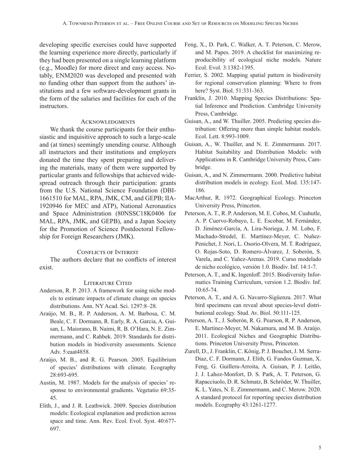developing specific exercises could have supported the learning experience more directly, particularly if they had been presented on a single learning platform (e.g., Moodle) for more direct and easy access. Notably, ENM2020 was developed and presented with no funding other than support from the authors' institutions and a few software-development grants in the form of the salaries and facilities for each of the instructors.

#### **ACKNOWLEDGMENTS**

We thank the course participants for their enthusiastic and inquisitive approach to such a large-scale and (at times) seemingly unending course. Although all instructors and their institutions and employers donated the time they spent preparing and delivering the materials, many of them were supported by particular grants and fellowships that achieved widespread outreach through their participation: grants from the U.S. National Science Foundation (DBI-1661510 for MAL, RPA, JMK, CM, and GEPB; IIA-1920946 for MEC and ATP), National Aeronautics and Space Administration (80NSSC18K0406 for MAL, RPA, JMK, and GEPB), and a Japan Society for the Promotion of Science Postdoctoral Fellowship for Foreign Researchers (JMK).

## Conflicts of Interest

The authors declare that no conflicts of interest exist.

## LITERATURE CITED

- Anderson, R. P. 2013. A framework for using niche models to estimate impacts of climate change on species distributions. Ann. NY Acad. Sci. 1297:8–28.
- Araújo, M. B., R. P. Anderson, A. M. Barbosa, C. M. Beale, C. F. Dormann, R. Early, R. A. Garcia, A. Guisan, L. Maiorano, B. Naimi, R. B. O'Hara, N. E. Zimmermann, and C. Rahbek. 2019. Standards for distribution models in biodiversity assessments. Science Adv. 5:eaat4858.
- Araújo, M. B., and R. G. Pearson. 2005. Equilibrium of species' distributions with climate. Ecography 28:693-695.
- Austin, M. 1987. Models for the analysis of species' response to environmental gradients. Vegetatio 69:35- 45.
- Elith, J., and J. R. Leathwick. 2009. Species distribution models: Ecological explanation and prediction across space and time. Ann. Rev. Ecol. Evol. Syst. 40:677- 697.
- Feng, X., D. Park, C. Walker, A. T. Peterson, C. Merow, and M. Papes. 2019. A checklist for maximizing reproducibility of ecological niche models. Nature Ecol. Evol. 3:1382-1395.
- Ferrier, S. 2002. Mapping spatial pattern in biodiversity for regional conservation planning: Where to from here? Syst. Biol. 51:331-363.
- Franklin, J. 2010. Mapping Species Distributions: Spatial Inference and Prediction. Cambridge University Press, Cambridge.
- Guisan, A., and W. Thuiller. 2005. Predicting species distribution: Offering more than simple habitat models. Ecol. Lett. 8:993-1009.
- Guisan, A., W. Thuiller, and N. E. Zimmermann. 2017. Habitat Suitability and Distribution Models: with Applications in R. Cambridge University Press, Cambridge.
- Guisan, A., and N. Zimmermann. 2000. Predictive habitat distribution models in ecology. Ecol. Mod. 135:147- 186.
- MacArthur, R. 1972. Geographical Ecology. Princeton University Press, Princeton.
- Peterson, A. T., R. P. Anderson, M. E. Cobos, M. Cuahutle, A. P. Cuervo-Robayo, L. E. Escobar, M. Fernández, D. Jiménez-García, A. Lira-Noriega, J. M. Lobo, F. Machado-Stredel, E. Martínez-Meyer, C. Nuñez-Penichet, J. Nori, L. Osorio-Olvera, M. T. Rodríguez, O. Rojas-Soto, D. Romero-Álvarez, J. Soberón, S. Varela, and C. Yañez-Arenas. 2019. Curso modelado de nicho ecológico, versión 1.0. Biodiv. Inf. 14:1-7.
- Peterson, A. T., and K. Ingenloff. 2015. Biodiversity Informatics Training Curriculum, version 1.2. Biodiv. Inf. 10:65-74.
- Peterson, A. T., and A. G. Navarro-Sigüenza. 2017. What bird specimens can reveal about species-level distributional ecology. Stud. Av. Biol. 50:111-125.
- Peterson, A. T., J. Soberón, R. G. Pearson, R. P. Anderson, E. Martínez-Meyer, M. Nakamura, and M. B. Araújo. 2011. Ecological Niches and Geographic Distributions. Princeton University Press, Princeton.
- Zurell, D., J. Franklin, C. König, P. J. Bouchet, J. M. Serra-Diaz, C. F. Dormann, J. Elith, G. Fandos Guzman, X. Feng, G. Guillera-Arroita, A. Guisan, P. J. Leitão, J. J. Lahoz-Monfort, D. S. Park, A. T. Peterson, G. Rapacciuolo, D. R. Schmatz, B. Schröder, W. Thuiller, K. L. Yates, N. E. Zimmermann, and C. Merow. 2020. A standard protocol for reporting species distribution models. Ecography 43:1261-1277.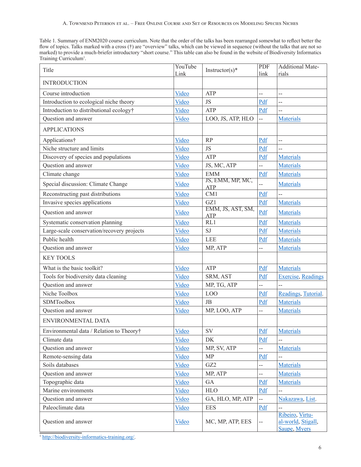Table 1. Summary of ENM2020 course curriculum. Note that the order of the talks has been rearranged somewhat to reflect better the flow of topics. Talks marked with a cross (†) are "overview" talks, which can be viewed in sequence (without the talks that are not so marked) to provide a much-briefer introductory "short course." This table can also be found in the website of Biodiversity Informatics Training Curriculum<sup>1</sup>.

| Title                                      | YouTube<br>Link | Instructor(s)*                  | PDF<br>link              | <b>Additional Mate-</b><br>rials                      |
|--------------------------------------------|-----------------|---------------------------------|--------------------------|-------------------------------------------------------|
| <b>INTRODUCTION</b>                        |                 |                                 |                          |                                                       |
| Course introduction                        | Video           | <b>ATP</b>                      | --                       | $\overline{a}$                                        |
| Introduction to ecological niche theory    | Video           | <b>JS</b>                       | Pdf                      | $\overline{a}$                                        |
| Introduction to distributional ecology†    | Video           | ATP                             | Pdf                      | $\overline{a}$                                        |
| Question and answer                        | Video           | LOO, JS, ATP, HLO               | $\overline{a}$           | <b>Materials</b>                                      |
| <b>APPLICATIONS</b>                        |                 |                                 |                          |                                                       |
| Applications†                              | Video           | <b>RP</b>                       | Pdf                      | $\overline{a}$                                        |
| Niche structure and limits                 | Video           | <b>JS</b>                       | Pdf                      | --                                                    |
| Discovery of species and populations       | Video           | ATP                             | Pdf                      | <b>Materials</b>                                      |
| Question and answer                        | Video           | JS, MC, ATP                     | --                       | <b>Materials</b>                                      |
| Climate change                             | Video           | <b>EMM</b>                      | Pdf                      | <b>Materials</b>                                      |
| Special discussion: Climate Change         | Video           | JS, EMM, MP, MC,<br><b>ATP</b>  | --                       | <b>Materials</b>                                      |
| Reconstructing past distributions          | Video           | CM1                             | Pdf                      |                                                       |
| Invasive species applications              | Video           | GZ1                             | Pdf                      | <b>Materials</b>                                      |
| Question and answer                        | Video           | EMM, JS, AST, SM,<br><b>ATP</b> | Pdf                      | <b>Materials</b>                                      |
| Systematic conservation planning           | Video           | RL1                             | Pdf                      | <b>Materials</b>                                      |
| Large-scale conservation/recovery projects | Video           | SJ                              | Pdf                      | <b>Materials</b>                                      |
| Public health                              | Video           | <b>LEE</b>                      | Pdf                      | <b>Materials</b>                                      |
| Question and answer                        | Video           | MP, ATP                         | $-$                      | <b>Materials</b>                                      |
| <b>KEY TOOLS</b>                           |                 |                                 |                          |                                                       |
| What is the basic toolkit?                 | Video           | ATP                             | Pdf                      | <b>Materials</b>                                      |
| Tools for biodiversity data cleaning       | Video           | SRM, AST                        | Pdf                      | <b>Exercise</b> , Readings                            |
| Question and answer                        | Video           | MP, TG, ATP                     | $\overline{a}$           |                                                       |
| Niche Toolbox                              | Video           | LO <sub>O</sub>                 | Pdf                      | Readings, Tutorial.                                   |
| <b>SDMToolbox</b>                          | Video           | JB                              | Pdf                      | Materials                                             |
| Question and answer                        | Video           | MP, LOO, ATP                    | $\overline{\phantom{a}}$ | Materials                                             |
| ENVIRONMENTAL DATA                         |                 |                                 |                          |                                                       |
| Environmental data / Relation to Theory†   | Video           | <b>SV</b>                       | Pdf                      | <b>Materials</b>                                      |
| Climate data                               | Video           | DK                              | Pdf                      |                                                       |
| Question and answer                        | Video           | MP, SV, ATP                     | --                       | <b>Materials</b>                                      |
| Remote-sensing data                        | Video           | MP                              | Pdf                      | $\overline{a}$                                        |
| Soils databases                            | Video           | GZ <sub>2</sub>                 | $\overline{\phantom{a}}$ | <b>Materials</b>                                      |
| Question and answer                        | Video           | MP, ATP                         | --                       | <b>Materials</b>                                      |
| Topographic data                           | Video           | GA                              | Pdf                      | <b>Materials</b>                                      |
| Marine environments                        | Video           | <b>HLO</b>                      | Pdf                      | --                                                    |
| Question and answer                        | Video           | GA, HLO, MP, ATP                |                          | Nakazawa, List.                                       |
| Paleoclimate data                          | Video           | <b>EES</b>                      | Pdf                      | $\overline{a}$                                        |
| Question and answer                        | <b>Video</b>    | MC, MP, ATP, EES                | --                       | Ribeiro, Virtu-<br>al-world, Stigall,<br>Saupe, Myers |

<sup>1</sup> <http://biodiversity-informatics-training.org/>.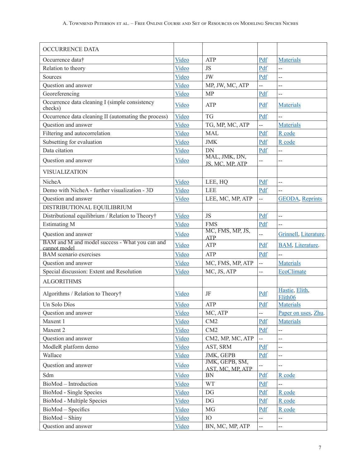| <b>OCCURRENCE DATA</b>                                         |       |                                    |                          |                                       |
|----------------------------------------------------------------|-------|------------------------------------|--------------------------|---------------------------------------|
| Occurrence data†                                               | Video | ATP                                | Pdf                      | <b>Materials</b>                      |
| Relation to theory                                             | Video | <b>JS</b>                          | Pdf                      | --                                    |
| Sources                                                        | Video | JW                                 | Pdf                      | --                                    |
| Question and answer                                            | Video | MP, JW, MC, ATP                    | $\overline{a}$           | --                                    |
| Georeferencing                                                 | Video | <b>MP</b>                          | Pdf                      | --                                    |
| Occurrence data cleaning I (simple consistency<br>checks)      | Video | ATP                                | Pdf                      | <b>Materials</b>                      |
| Occurrence data cleaning II (automating the process)           | Video | <b>TG</b>                          | Pdf                      | --                                    |
| Question and answer                                            | Video | TG, MP, MC, ATP                    |                          | <b>Materials</b>                      |
| Filtering and autocorrelation                                  | Video | <b>MAL</b>                         | Pdf                      | R code                                |
| Subsetting for evaluation                                      | Video | <b>JMK</b>                         | Pdf                      | R code                                |
| Data citation                                                  | Video | DN                                 | Pdf                      | --                                    |
| Question and answer                                            | Video | MAL, JMK, DN,<br>JS, MC, MP, ATP   |                          | $-$                                   |
| VISUALIZATION                                                  |       |                                    |                          |                                       |
| NicheA                                                         | Video | LEE, HQ                            | Pdf                      | $\overline{a}$                        |
| Demo with NicheA - further visualization - 3D                  | Video | <b>LEE</b>                         | Pdf                      | --                                    |
| Question and answer                                            | Video | LEE, MC, MP, ATP                   | 44                       | <b>GEODA</b> , Reprints               |
| DISTRIBUTIONAL EQUILIBRIUM                                     |       |                                    |                          |                                       |
| Distributional equilibrium / Relation to Theory†               | Video | JS                                 | Pdf                      | --                                    |
| <b>Estimating M</b>                                            | Video | <b>FMS</b>                         | Pdf                      | --                                    |
| Question and answer                                            | Video | MC, FMS, MP, JS,<br><b>ATP</b>     | $\overline{a}$           | Grinnell, Literature.                 |
| BAM and M and model success - What you can and<br>cannot model | Video | ATP                                | Pdf                      | <b>BAM</b> , Literature.              |
| <b>BAM</b> scenario exercises                                  | Video | ATP                                | Pdf                      | --                                    |
| Question and answer                                            | Video | MC, FMS, MP, ATP                   | $\overline{a}$           | <b>Materials</b>                      |
| Special discussion: Extent and Resolution                      | Video | MC, JS, ATP                        | --                       | EcoClimate                            |
| <b>ALGORITHMS</b>                                              |       |                                    |                          |                                       |
| Algorithms / Relation to Theory†                               | Video | JF                                 | Pdf                      | Hastie, Elith,<br>Elith <sub>06</sub> |
| Un Solo Díos                                                   | Video | ATP                                | Pdf                      | <b>Materials</b>                      |
| Question and answer                                            | Video | MC, ATP                            | --                       | Paper on uses, Zhu.                   |
| Maxent 1                                                       | Video | CM2                                | Pdf                      | <b>Materials</b>                      |
| Maxent 2                                                       | Video | CM2                                | Pdf                      | --                                    |
| Question and answer                                            | Video | CM2, MP, MC, ATP                   |                          | --                                    |
| ModleR platform demo                                           | Video | AST, SRM                           | Pdf                      | --                                    |
| Wallace                                                        | Video | JMK, GEPB                          | Pdf                      | --                                    |
| Question and answer                                            | Video | JMK, GEPB, SM,<br>AST, MC, MP, ATP |                          | --                                    |
| Sdm                                                            | Video | BN                                 | Pdf                      | R code                                |
| BioMod - Introduction                                          | Video | <b>WT</b>                          | Pdf                      | --                                    |
| BioMod - Single Species                                        | Video | DG                                 | Pdf                      | R code                                |
| BioMod - Multiple Species                                      | Video | DG                                 | Pdf                      | R code                                |
| BioMod - Specifics                                             | Video | MG                                 | Pdf                      | R code                                |
| BioMod - Shiny                                                 | Video | IO                                 | 44                       | $\overline{\phantom{a}}$              |
| Question and answer                                            | Video | BN, MC, MP, ATP                    | $\overline{\phantom{a}}$ | --                                    |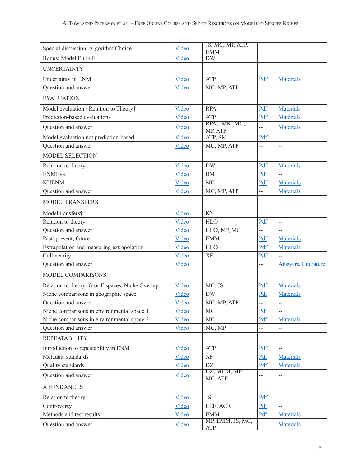| Special discussion: Algorithm Choice             | Video | JS, MC, MP, ATP,            | $-$                      | --                          |
|--------------------------------------------------|-------|-----------------------------|--------------------------|-----------------------------|
| Bonus: Model Fit in E                            | Video | <b>EMM</b><br><b>DW</b>     | --                       | --                          |
| <b>UNCERTAINTY</b>                               |       |                             |                          |                             |
| Uncertainty in ENM                               | Video | ATP                         | Pdf                      | <b>Materials</b>            |
| Question and answer                              | Video | MC, MP, ATP                 |                          |                             |
| <b>EVALUATION</b>                                |       |                             |                          |                             |
|                                                  |       |                             |                          |                             |
| Model evaluation / Relation to Theory†           | Video | <b>RPA</b>                  | Pdf                      | <b>Materials</b>            |
| Prediction-based evaluations                     | Video | <b>ATP</b><br>RPA, JMK, MC, | Pdf                      | <b>Materials</b>            |
| Question and answer                              | Video | MP, ATP                     | 44                       | <b>Materials</b>            |
| Model evaluation not prediction-based            | Video | ATP, SM                     | Pdf                      | --                          |
| Question and answer                              | Video | MC, MP, ATP                 | --                       | --                          |
| <b>MODEL SELECTION</b>                           |       |                             |                          |                             |
| Relation to theory                               | Video | <b>DW</b>                   | Pdf                      | <b>Materials</b>            |
| <b>ENMEval</b>                                   | Video | <b>BM</b>                   | Pdf                      | --                          |
| <b>KUENM</b>                                     | Video | MC                          | Pdf                      | <b>Materials</b>            |
| Question and answer                              | Video | MC, MP, ATP                 | --                       | <b>Materials</b>            |
| <b>MODEL TRANSFERS</b>                           |       |                             |                          |                             |
| Model transfers†                                 | Video | KY                          | 44                       | --                          |
| Relation to theory                               | Video | <b>HLO</b>                  | Pdf                      | --                          |
| Question and answer                              | Video | HLO, MP, MC                 | --                       | --                          |
| Past, present, future                            | Video | <b>EMM</b>                  | Pdf                      | <b>Materials</b>            |
| Extrapolation and measuring extrapolation        | Video | <b>HLO</b>                  | Pdf                      | <b>Materials</b>            |
| Collinearity                                     | Video | XF                          | Pdf                      |                             |
| Question and answer                              | Video |                             | --                       | <b>Answers</b> , Literature |
| <b>MODEL COMPARISONS</b>                         |       |                             |                          |                             |
| Relation to theory: G or E spaces, Niche Overlap | Video | MC, JS                      | Pdf                      | <b>Materials</b>            |
| Niche comparisons in geographic space            | Video | <b>DW</b>                   | Pdf                      | <b>Materials</b>            |
| Question and answer                              | Video | MC, MP, ATP                 | $\overline{a}$           | --                          |
| Niche comparisons in environmental space 1       | Video | MC                          | Pdf                      | --                          |
| Niche comparisons in environmental space 2       | Video | MC                          | Pdf                      | <b>Materials</b>            |
| Question and answer                              | Video | MC, MP                      | --                       | --                          |
| <b>REPEATABILITY</b>                             |       |                             |                          |                             |
| Introduction to repeatability in ENM†            | Video | ATP                         | Pdf                      | --                          |
| Metadata standards                               | Video | XF                          | Pdf                      | <b>Materials</b>            |
| Quality standards                                | Video | DZ                          | Pdf                      | <b>Materials</b>            |
| Question and answer                              | Video | DZ, MLM, MP,<br>MC, ATP     | $\overline{\phantom{a}}$ | --                          |
| <b>ABUNDANCES</b>                                |       |                             |                          |                             |
| Relation to theory                               | Video | <b>JS</b>                   | Pdf                      | $-$                         |
| Controversy                                      | Video | LEE, ACR                    | Pdf                      | --                          |
| Methods and test results                         | Video | <b>EMM</b>                  | Pdf                      | <b>Materials</b>            |
| Question and answer                              | Video | MP, EMM, JS, MC,<br>ATP     | $\overline{a}$           | <b>Materials</b>            |